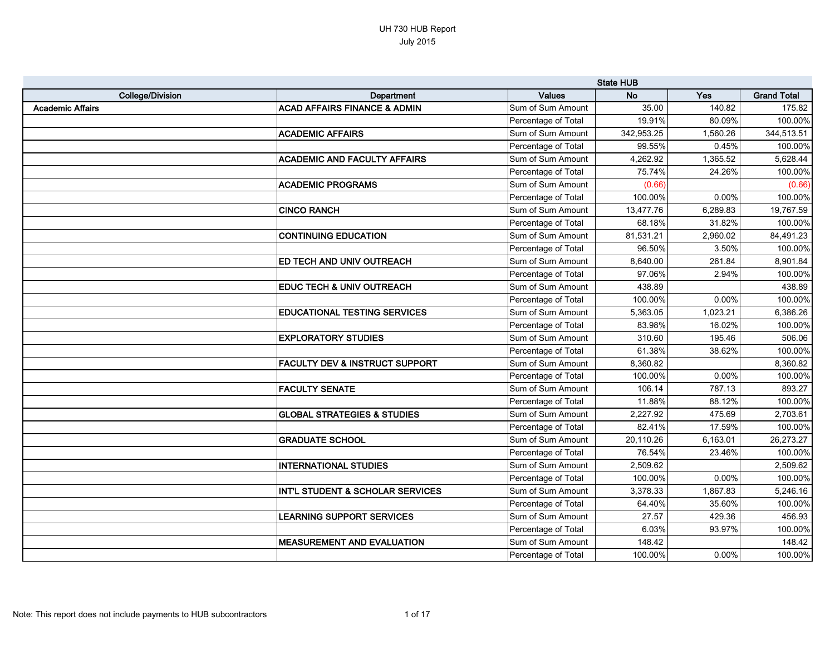|                         |                                             |                     | <b>State HUB</b> |          |                    |
|-------------------------|---------------------------------------------|---------------------|------------------|----------|--------------------|
| <b>College/Division</b> | Department                                  | <b>Values</b>       | <b>No</b>        | Yes      | <b>Grand Total</b> |
| <b>Academic Affairs</b> | <b>ACAD AFFAIRS FINANCE &amp; ADMIN</b>     | Sum of Sum Amount   | 35.00            | 140.82   | 175.82             |
|                         |                                             | Percentage of Total | 19.91%           | 80.09%   | 100.00%            |
|                         | <b>ACADEMIC AFFAIRS</b>                     | Sum of Sum Amount   | 342,953.25       | 1,560.26 | 344,513.51         |
|                         |                                             | Percentage of Total | 99.55%           | 0.45%    | 100.00%            |
|                         | <b>ACADEMIC AND FACULTY AFFAIRS</b>         | Sum of Sum Amount   | 4,262.92         | 1,365.52 | 5,628.44           |
|                         |                                             | Percentage of Total | 75.74%           | 24.26%   | 100.00%            |
|                         | <b>ACADEMIC PROGRAMS</b>                    | Sum of Sum Amount   | (0.66)           |          | (0.66)             |
|                         |                                             | Percentage of Total | 100.00%          | 0.00%    | 100.00%            |
|                         | <b>CINCO RANCH</b>                          | Sum of Sum Amount   | 13,477.76        | 6,289.83 | 19,767.59          |
|                         |                                             | Percentage of Total | 68.18%           | 31.82%   | 100.00%            |
|                         | <b>CONTINUING EDUCATION</b>                 | Sum of Sum Amount   | 81,531.21        | 2,960.02 | 84,491.23          |
|                         |                                             | Percentage of Total | 96.50%           | 3.50%    | 100.00%            |
|                         | <b>ED TECH AND UNIV OUTREACH</b>            | Sum of Sum Amount   | 8,640.00         | 261.84   | 8,901.84           |
|                         |                                             | Percentage of Total | 97.06%           | 2.94%    | 100.00%            |
|                         | <b>EDUC TECH &amp; UNIV OUTREACH</b>        | Sum of Sum Amount   | 438.89           |          | 438.89             |
|                         |                                             | Percentage of Total | 100.00%          | 0.00%    | 100.00%            |
|                         | <b>EDUCATIONAL TESTING SERVICES</b>         | Sum of Sum Amount   | 5,363.05         | 1,023.21 | 6,386.26           |
|                         |                                             | Percentage of Total | 83.98%           | 16.02%   | 100.00%            |
|                         | <b>EXPLORATORY STUDIES</b>                  | Sum of Sum Amount   | 310.60           | 195.46   | 506.06             |
|                         |                                             | Percentage of Total | 61.38%           | 38.62%   | 100.00%            |
|                         | <b>FACULTY DEV &amp; INSTRUCT SUPPORT</b>   | Sum of Sum Amount   | 8,360.82         |          | 8,360.82           |
|                         |                                             | Percentage of Total | 100.00%          | 0.00%    | 100.00%            |
|                         | <b>FACULTY SENATE</b>                       | Sum of Sum Amount   | 106.14           | 787.13   | 893.27             |
|                         |                                             | Percentage of Total | 11.88%           | 88.12%   | 100.00%            |
|                         | <b>GLOBAL STRATEGIES &amp; STUDIES</b>      | Sum of Sum Amount   | 2,227.92         | 475.69   | 2,703.61           |
|                         |                                             | Percentage of Total | 82.41%           | 17.59%   | 100.00%            |
|                         | <b>GRADUATE SCHOOL</b>                      | Sum of Sum Amount   | 20,110.26        | 6,163.01 | 26,273.27          |
|                         |                                             | Percentage of Total | 76.54%           | 23.46%   | 100.00%            |
|                         | <b>INTERNATIONAL STUDIES</b>                | Sum of Sum Amount   | 2,509.62         |          | 2,509.62           |
|                         |                                             | Percentage of Total | 100.00%          | 0.00%    | 100.00%            |
|                         | <b>INT'L STUDENT &amp; SCHOLAR SERVICES</b> | Sum of Sum Amount   | 3,378.33         | 1,867.83 | 5,246.16           |
|                         |                                             | Percentage of Total | 64.40%           | 35.60%   | 100.00%            |
|                         | <b>LEARNING SUPPORT SERVICES</b>            | Sum of Sum Amount   | 27.57            | 429.36   | 456.93             |
|                         |                                             | Percentage of Total | 6.03%            | 93.97%   | 100.00%            |
|                         | <b>IMEASUREMENT AND EVALUATION</b>          | Sum of Sum Amount   | 148.42           |          | 148.42             |
|                         |                                             | Percentage of Total | 100.00%          | 0.00%    | 100.00%            |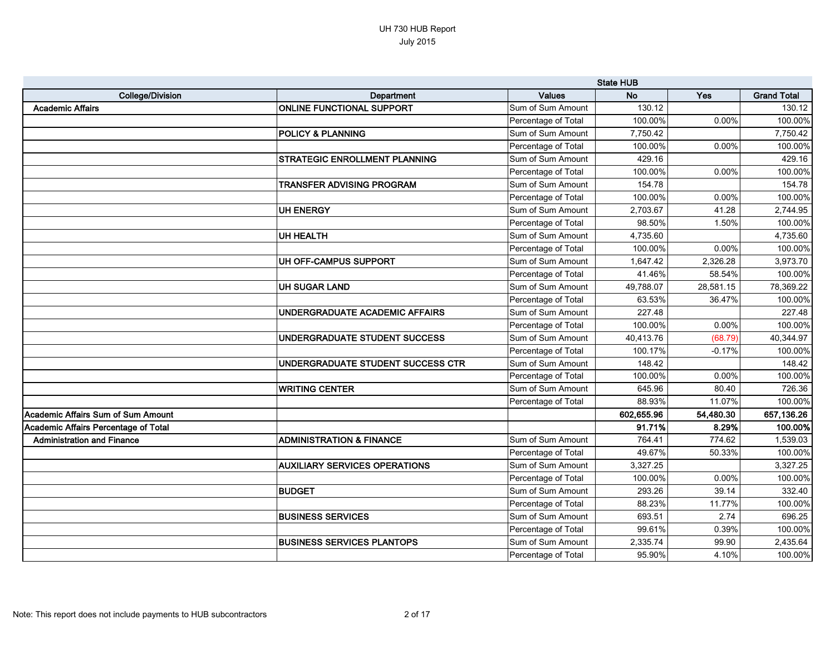|                                      |                                       | <b>State HUB</b>    |            |           |                    |
|--------------------------------------|---------------------------------------|---------------------|------------|-----------|--------------------|
| <b>College/Division</b>              | Department                            | <b>Values</b>       | <b>No</b>  | Yes       | <b>Grand Total</b> |
| <b>Academic Affairs</b>              | <b>ONLINE FUNCTIONAL SUPPORT</b>      | Sum of Sum Amount   | 130.12     |           | 130.12             |
|                                      |                                       | Percentage of Total | 100.00%    | 0.00%     | 100.00%            |
|                                      | <b>POLICY &amp; PLANNING</b>          | Sum of Sum Amount   | 7,750.42   |           | 7,750.42           |
|                                      |                                       | Percentage of Total | 100.00%    | 0.00%     | 100.00%            |
|                                      | <b>STRATEGIC ENROLLMENT PLANNING</b>  | Sum of Sum Amount   | 429.16     |           | 429.16             |
|                                      |                                       | Percentage of Total | 100.00%    | 0.00%     | 100.00%            |
|                                      | <b>TRANSFER ADVISING PROGRAM</b>      | Sum of Sum Amount   | 154.78     |           | 154.78             |
|                                      |                                       | Percentage of Total | 100.00%    | 0.00%     | 100.00%            |
|                                      | UH ENERGY                             | Sum of Sum Amount   | 2,703.67   | 41.28     | 2,744.95           |
|                                      |                                       | Percentage of Total | 98.50%     | 1.50%     | 100.00%            |
|                                      | UH HEALTH                             | Sum of Sum Amount   | 4,735.60   |           | 4,735.60           |
|                                      |                                       | Percentage of Total | 100.00%    | 0.00%     | 100.00%            |
|                                      | UH OFF-CAMPUS SUPPORT                 | Sum of Sum Amount   | 1,647.42   | 2,326.28  | 3,973.70           |
|                                      |                                       | Percentage of Total | 41.46%     | 58.54%    | 100.00%            |
|                                      | <b>UH SUGAR LAND</b>                  | Sum of Sum Amount   | 49,788.07  | 28,581.15 | 78,369.22          |
|                                      |                                       | Percentage of Total | 63.53%     | 36.47%    | 100.00%            |
|                                      | <b>UNDERGRADUATE ACADEMIC AFFAIRS</b> | Sum of Sum Amount   | 227.48     |           | 227.48             |
|                                      |                                       | Percentage of Total | 100.00%    | 0.00%     | 100.00%            |
|                                      | UNDERGRADUATE STUDENT SUCCESS         | Sum of Sum Amount   | 40,413.76  | (68.79)   | 40,344.97          |
|                                      |                                       | Percentage of Total | 100.17%    | $-0.17%$  | 100.00%            |
|                                      | UNDERGRADUATE STUDENT SUCCESS CTR     | Sum of Sum Amount   | 148.42     |           | 148.42             |
|                                      |                                       | Percentage of Total | 100.00%    | 0.00%     | 100.00%            |
|                                      | <b>WRITING CENTER</b>                 | Sum of Sum Amount   | 645.96     | 80.40     | 726.36             |
|                                      |                                       | Percentage of Total | 88.93%     | 11.07%    | 100.00%            |
| Academic Affairs Sum of Sum Amount   |                                       |                     | 602,655.96 | 54,480.30 | 657,136.26         |
| Academic Affairs Percentage of Total |                                       |                     | 91.71%     | 8.29%     | 100.00%            |
| <b>Administration and Finance</b>    | <b>ADMINISTRATION &amp; FINANCE</b>   | Sum of Sum Amount   | 764.41     | 774.62    | 1,539.03           |
|                                      |                                       | Percentage of Total | 49.67%     | 50.33%    | 100.00%            |
|                                      | <b>AUXILIARY SERVICES OPERATIONS</b>  | Sum of Sum Amount   | 3,327.25   |           | 3,327.25           |
|                                      |                                       | Percentage of Total | 100.00%    | 0.00%     | 100.00%            |
|                                      | <b>BUDGET</b>                         | Sum of Sum Amount   | 293.26     | 39.14     | 332.40             |
|                                      |                                       | Percentage of Total | 88.23%     | 11.77%    | 100.00%            |
|                                      | <b>BUSINESS SERVICES</b>              | Sum of Sum Amount   | 693.51     | 2.74      | 696.25             |
|                                      |                                       | Percentage of Total | 99.61%     | 0.39%     | 100.00%            |
|                                      | <b>BUSINESS SERVICES PLANTOPS</b>     | Sum of Sum Amount   | 2,335.74   | 99.90     | 2,435.64           |
|                                      |                                       | Percentage of Total | 95.90%     | 4.10%     | 100.00%            |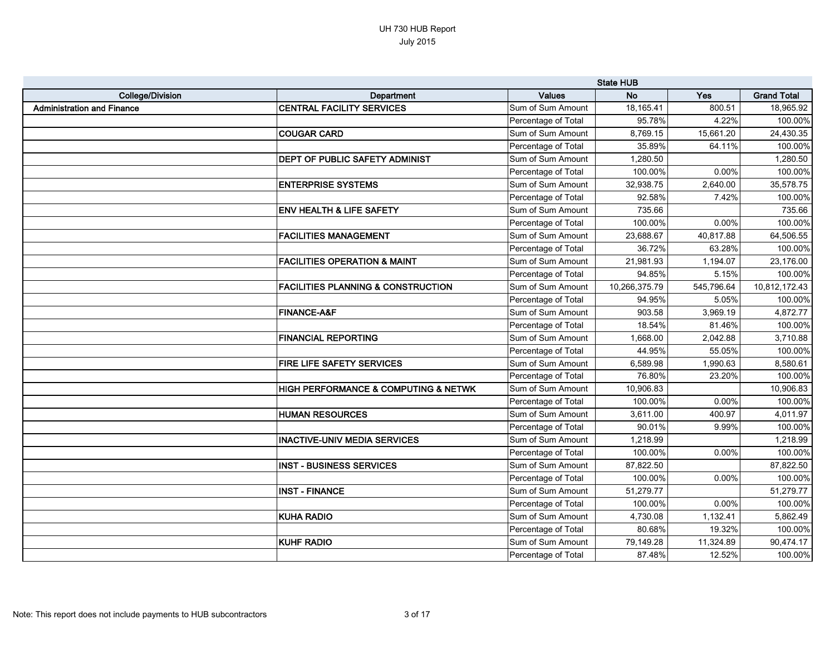|                                   |                                               |                     | <b>State HUB</b> |            |                    |
|-----------------------------------|-----------------------------------------------|---------------------|------------------|------------|--------------------|
| <b>College/Division</b>           | Department                                    | <b>Values</b>       | <b>No</b>        | Yes        | <b>Grand Total</b> |
| <b>Administration and Finance</b> | <b>CENTRAL FACILITY SERVICES</b>              | Sum of Sum Amount   | 18,165.41        | 800.51     | 18,965.92          |
|                                   |                                               | Percentage of Total | 95.78%           | 4.22%      | 100.00%            |
|                                   | <b>COUGAR CARD</b>                            | Sum of Sum Amount   | 8,769.15         | 15,661.20  | 24,430.35          |
|                                   |                                               | Percentage of Total | 35.89%           | 64.11%     | 100.00%            |
|                                   | <b>DEPT OF PUBLIC SAFETY ADMINIST</b>         | Sum of Sum Amount   | 1,280.50         |            | 1,280.50           |
|                                   |                                               | Percentage of Total | 100.00%          | 0.00%      | 100.00%            |
|                                   | <b>ENTERPRISE SYSTEMS</b>                     | Sum of Sum Amount   | 32,938.75        | 2,640.00   | 35,578.75          |
|                                   |                                               | Percentage of Total | 92.58%           | 7.42%      | 100.00%            |
|                                   | <b>ENV HEALTH &amp; LIFE SAFETY</b>           | Sum of Sum Amount   | 735.66           |            | 735.66             |
|                                   |                                               | Percentage of Total | 100.00%          | 0.00%      | 100.00%            |
|                                   | <b>FACILITIES MANAGEMENT</b>                  | Sum of Sum Amount   | 23,688.67        | 40,817.88  | 64,506.55          |
|                                   |                                               | Percentage of Total | 36.72%           | 63.28%     | 100.00%            |
|                                   | <b>FACILITIES OPERATION &amp; MAINT</b>       | Sum of Sum Amount   | 21,981.93        | 1,194.07   | 23,176.00          |
|                                   |                                               | Percentage of Total | 94.85%           | 5.15%      | 100.00%            |
|                                   | <b>FACILITIES PLANNING &amp; CONSTRUCTION</b> | Sum of Sum Amount   | 10,266,375.79    | 545,796.64 | 10,812,172.43      |
|                                   |                                               | Percentage of Total | 94.95%           | 5.05%      | 100.00%            |
|                                   | <b>FINANCE-A&amp;F</b>                        | Sum of Sum Amount   | 903.58           | 3,969.19   | 4,872.77           |
|                                   |                                               | Percentage of Total | 18.54%           | 81.46%     | 100.00%            |
|                                   | <b>FINANCIAL REPORTING</b>                    | Sum of Sum Amount   | 1,668.00         | 2,042.88   | 3,710.88           |
|                                   |                                               | Percentage of Total | 44.95%           | 55.05%     | 100.00%            |
|                                   | FIRE LIFE SAFETY SERVICES                     | Sum of Sum Amount   | 6,589.98         | 1,990.63   | 8,580.61           |
|                                   |                                               | Percentage of Total | 76.80%           | 23.20%     | 100.00%            |
|                                   | HIGH PERFORMANCE & COMPUTING & NETWK          | Sum of Sum Amount   | 10,906.83        |            | 10,906.83          |
|                                   |                                               | Percentage of Total | 100.00%          | 0.00%      | 100.00%            |
|                                   | <b>HUMAN RESOURCES</b>                        | Sum of Sum Amount   | 3,611.00         | 400.97     | 4,011.97           |
|                                   |                                               | Percentage of Total | 90.01%           | 9.99%      | 100.00%            |
|                                   | <b>INACTIVE-UNIV MEDIA SERVICES</b>           | Sum of Sum Amount   | 1,218.99         |            | 1,218.99           |
|                                   |                                               | Percentage of Total | 100.00%          | 0.00%      | 100.00%            |
|                                   | <b>INST - BUSINESS SERVICES</b>               | Sum of Sum Amount   | 87,822.50        |            | 87,822.50          |
|                                   |                                               | Percentage of Total | 100.00%          | 0.00%      | 100.00%            |
|                                   | <b>INST - FINANCE</b>                         | Sum of Sum Amount   | 51,279.77        |            | 51,279.77          |
|                                   |                                               | Percentage of Total | 100.00%          | 0.00%      | 100.00%            |
|                                   | <b>KUHA RADIO</b>                             | Sum of Sum Amount   | 4,730.08         | 1,132.41   | 5,862.49           |
|                                   |                                               | Percentage of Total | 80.68%           | 19.32%     | 100.00%            |
|                                   | <b>KUHF RADIO</b>                             | Sum of Sum Amount   | 79,149.28        | 11,324.89  | 90,474.17          |
|                                   |                                               | Percentage of Total | 87.48%           | 12.52%     | 100.00%            |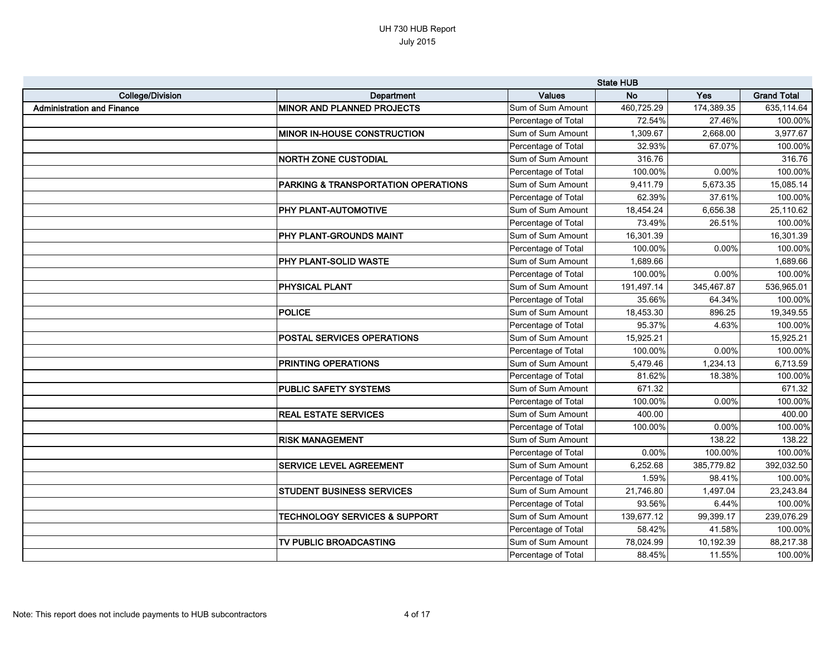|                                   |                                                |                     | <b>State HUB</b> |            |                    |
|-----------------------------------|------------------------------------------------|---------------------|------------------|------------|--------------------|
| <b>College/Division</b>           | Department                                     | <b>Values</b>       | <b>No</b>        | Yes        | <b>Grand Total</b> |
| <b>Administration and Finance</b> | <b>MINOR AND PLANNED PROJECTS</b>              | Sum of Sum Amount   | 460,725.29       | 174,389.35 | 635,114.64         |
|                                   |                                                | Percentage of Total | 72.54%           | 27.46%     | 100.00%            |
|                                   | <b>MINOR IN-HOUSE CONSTRUCTION</b>             | Sum of Sum Amount   | 1,309.67         | 2,668.00   | 3,977.67           |
|                                   |                                                | Percentage of Total | 32.93%           | 67.07%     | 100.00%            |
|                                   | <b>NORTH ZONE CUSTODIAL</b>                    | Sum of Sum Amount   | 316.76           |            | 316.76             |
|                                   |                                                | Percentage of Total | 100.00%          | 0.00%      | 100.00%            |
|                                   | <b>PARKING &amp; TRANSPORTATION OPERATIONS</b> | Sum of Sum Amount   | 9,411.79         | 5,673.35   | 15,085.14          |
|                                   |                                                | Percentage of Total | 62.39%           | 37.61%     | 100.00%            |
|                                   | <b>PHY PLANT-AUTOMOTIVE</b>                    | Sum of Sum Amount   | 18,454.24        | 6,656.38   | 25,110.62          |
|                                   |                                                | Percentage of Total | 73.49%           | 26.51%     | 100.00%            |
|                                   | PHY PLANT-GROUNDS MAINT                        | Sum of Sum Amount   | 16,301.39        |            | 16,301.39          |
|                                   |                                                | Percentage of Total | 100.00%          | 0.00%      | 100.00%            |
|                                   | <b>PHY PLANT-SOLID WASTE</b>                   | Sum of Sum Amount   | 1,689.66         |            | 1,689.66           |
|                                   |                                                | Percentage of Total | 100.00%          | 0.00%      | 100.00%            |
|                                   | <b>PHYSICAL PLANT</b>                          | Sum of Sum Amount   | 191,497.14       | 345,467.87 | 536,965.01         |
|                                   |                                                | Percentage of Total | 35.66%           | 64.34%     | 100.00%            |
|                                   | POLICE                                         | Sum of Sum Amount   | 18,453.30        | 896.25     | 19,349.55          |
|                                   |                                                | Percentage of Total | 95.37%           | 4.63%      | 100.00%            |
|                                   | POSTAL SERVICES OPERATIONS                     | Sum of Sum Amount   | 15,925.21        |            | 15,925.21          |
|                                   |                                                | Percentage of Total | 100.00%          | 0.00%      | 100.00%            |
|                                   | <b>PRINTING OPERATIONS</b>                     | Sum of Sum Amount   | 5,479.46         | 1,234.13   | 6,713.59           |
|                                   |                                                | Percentage of Total | 81.62%           | 18.38%     | 100.00%            |
|                                   | <b>PUBLIC SAFETY SYSTEMS</b>                   | Sum of Sum Amount   | 671.32           |            | 671.32             |
|                                   |                                                | Percentage of Total | 100.00%          | 0.00%      | 100.00%            |
|                                   | <b>REAL ESTATE SERVICES</b>                    | Sum of Sum Amount   | 400.00           |            | 400.00             |
|                                   |                                                | Percentage of Total | 100.00%          | 0.00%      | 100.00%            |
|                                   | <b>RISK MANAGEMENT</b>                         | Sum of Sum Amount   |                  | 138.22     | 138.22             |
|                                   |                                                | Percentage of Total | 0.00%            | 100.00%    | 100.00%            |
|                                   | <b>SERVICE LEVEL AGREEMENT</b>                 | Sum of Sum Amount   | 6,252.68         | 385,779.82 | 392,032.50         |
|                                   |                                                | Percentage of Total | 1.59%            | 98.41%     | 100.00%            |
|                                   | <b>STUDENT BUSINESS SERVICES</b>               | Sum of Sum Amount   | 21,746.80        | 1,497.04   | 23,243.84          |
|                                   |                                                | Percentage of Total | 93.56%           | 6.44%      | 100.00%            |
|                                   | <b>TECHNOLOGY SERVICES &amp; SUPPORT</b>       | Sum of Sum Amount   | 139,677.12       | 99,399.17  | 239,076.29         |
|                                   |                                                | Percentage of Total | 58.42%           | 41.58%     | 100.00%            |
|                                   | TV PUBLIC BROADCASTING                         | Sum of Sum Amount   | 78,024.99        | 10,192.39  | 88,217.38          |
|                                   |                                                | Percentage of Total | 88.45%           | 11.55%     | 100.00%            |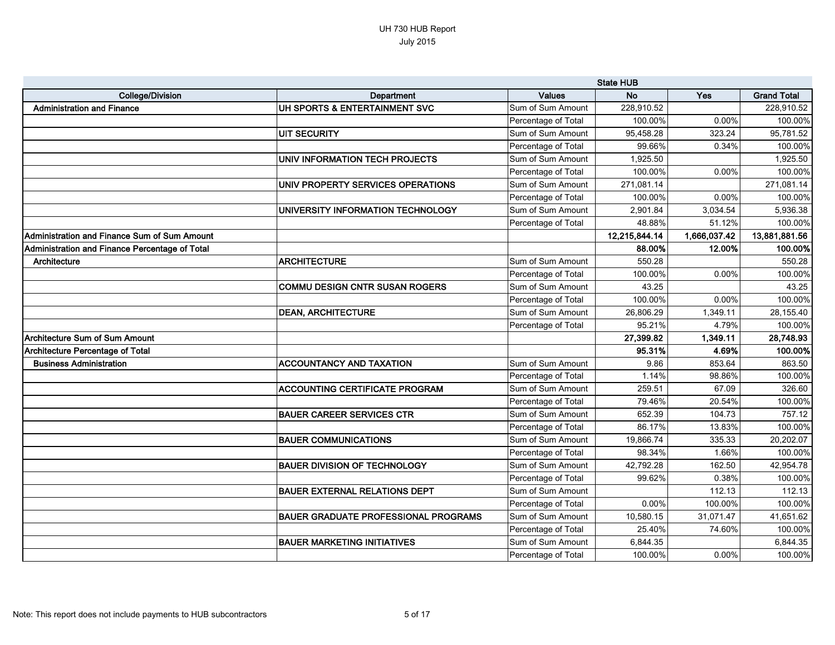|                                                |                                             |                     | <b>State HUB</b> |              |                    |
|------------------------------------------------|---------------------------------------------|---------------------|------------------|--------------|--------------------|
| <b>College/Division</b>                        | Department                                  | <b>Values</b>       | <b>No</b>        | Yes          | <b>Grand Total</b> |
| <b>Administration and Finance</b>              | UH SPORTS & ENTERTAINMENT SVC               | Sum of Sum Amount   | 228,910.52       |              | 228,910.52         |
|                                                |                                             | Percentage of Total | 100.00%          | 0.00%        | 100.00%            |
|                                                | <b>UIT SECURITY</b>                         | Sum of Sum Amount   | 95,458.28        | 323.24       | 95,781.52          |
|                                                |                                             | Percentage of Total | 99.66%           | 0.34%        | 100.00%            |
|                                                | UNIV INFORMATION TECH PROJECTS              | Sum of Sum Amount   | 1,925.50         |              | 1,925.50           |
|                                                |                                             | Percentage of Total | 100.00%          | 0.00%        | 100.00%            |
|                                                | UNIV PROPERTY SERVICES OPERATIONS           | Sum of Sum Amount   | 271,081.14       |              | 271,081.14         |
|                                                |                                             | Percentage of Total | 100.00%          | 0.00%        | 100.00%            |
|                                                | UNIVERSITY INFORMATION TECHNOLOGY           | Sum of Sum Amount   | 2,901.84         | 3,034.54     | 5,936.38           |
|                                                |                                             | Percentage of Total | 48.88%           | 51.12%       | 100.00%            |
| Administration and Finance Sum of Sum Amount   |                                             |                     | 12,215,844.14    | 1,666,037.42 | 13,881,881.56      |
| Administration and Finance Percentage of Total |                                             |                     | 88.00%           | 12.00%       | 100.00%            |
| Architecture                                   | <b>ARCHITECTURE</b>                         | Sum of Sum Amount   | 550.28           |              | 550.28             |
|                                                |                                             | Percentage of Total | 100.00%          | 0.00%        | 100.00%            |
|                                                | <b>COMMU DESIGN CNTR SUSAN ROGERS</b>       | Sum of Sum Amount   | 43.25            |              | 43.25              |
|                                                |                                             | Percentage of Total | 100.00%          | 0.00%        | 100.00%            |
|                                                | <b>DEAN, ARCHITECTURE</b>                   | Sum of Sum Amount   | 26,806.29        | 1,349.11     | 28,155.40          |
|                                                |                                             | Percentage of Total | 95.21%           | 4.79%        | 100.00%            |
| <b>Architecture Sum of Sum Amount</b>          |                                             |                     | 27,399.82        | 1,349.11     | 28,748.93          |
| <b>Architecture Percentage of Total</b>        |                                             |                     | 95.31%           | 4.69%        | 100.00%            |
| <b>Business Administration</b>                 | <b>ACCOUNTANCY AND TAXATION</b>             | Sum of Sum Amount   | 9.86             | 853.64       | 863.50             |
|                                                |                                             | Percentage of Total | 1.14%            | 98.86%       | 100.00%            |
|                                                | <b>ACCOUNTING CERTIFICATE PROGRAM</b>       | Sum of Sum Amount   | 259.51           | 67.09        | 326.60             |
|                                                |                                             | Percentage of Total | 79.46%           | 20.54%       | 100.00%            |
|                                                | <b>BAUER CAREER SERVICES CTR</b>            | Sum of Sum Amount   | 652.39           | 104.73       | 757.12             |
|                                                |                                             | Percentage of Total | 86.17%           | 13.83%       | 100.00%            |
|                                                | <b>BAUER COMMUNICATIONS</b>                 | Sum of Sum Amount   | 19,866.74        | 335.33       | 20,202.07          |
|                                                |                                             | Percentage of Total | 98.34%           | 1.66%        | 100.00%            |
|                                                | <b>BAUER DIVISION OF TECHNOLOGY</b>         | Sum of Sum Amount   | 42,792.28        | 162.50       | 42,954.78          |
|                                                |                                             | Percentage of Total | 99.62%           | 0.38%        | 100.00%            |
|                                                | <b>BAUER EXTERNAL RELATIONS DEPT</b>        | Sum of Sum Amount   |                  | 112.13       | 112.13             |
|                                                |                                             | Percentage of Total | 0.00%            | 100.00%      | 100.00%            |
|                                                | <b>BAUER GRADUATE PROFESSIONAL PROGRAMS</b> | Sum of Sum Amount   | 10,580.15        | 31,071.47    | 41,651.62          |
|                                                |                                             | Percentage of Total | 25.40%           | 74.60%       | 100.00%            |
|                                                | <b>BAUER MARKETING INITIATIVES</b>          | Sum of Sum Amount   | 6,844.35         |              | 6,844.35           |
|                                                |                                             | Percentage of Total | 100.00%          | 0.00%        | 100.00%            |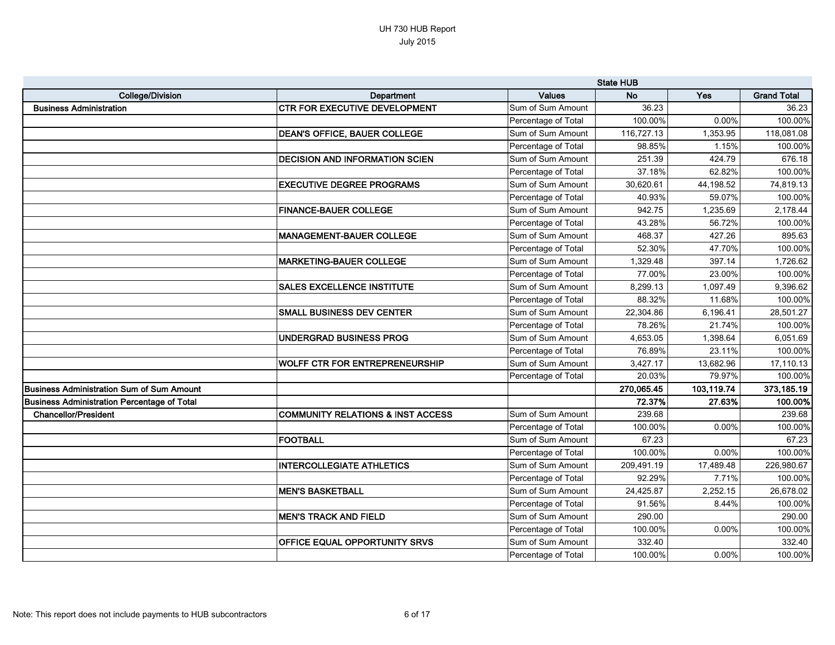|                                                  |                                              |                     | <b>State HUB</b> |            |                    |
|--------------------------------------------------|----------------------------------------------|---------------------|------------------|------------|--------------------|
| <b>College/Division</b>                          | Department                                   | <b>Values</b>       | <b>No</b>        | Yes        | <b>Grand Total</b> |
| <b>Business Administration</b>                   | <b>CTR FOR EXECUTIVE DEVELOPMENT</b>         | Sum of Sum Amount   | 36.23            |            | 36.23              |
|                                                  |                                              | Percentage of Total | 100.00%          | 0.00%      | 100.00%            |
|                                                  | <b>DEAN'S OFFICE, BAUER COLLEGE</b>          | Sum of Sum Amount   | 116,727.13       | 1,353.95   | 118,081.08         |
|                                                  |                                              | Percentage of Total | 98.85%           | 1.15%      | 100.00%            |
|                                                  | <b>DECISION AND INFORMATION SCIEN</b>        | Sum of Sum Amount   | 251.39           | 424.79     | 676.18             |
|                                                  |                                              | Percentage of Total | 37.18%           | 62.82%     | 100.00%            |
|                                                  | <b>EXECUTIVE DEGREE PROGRAMS</b>             | Sum of Sum Amount   | 30,620.61        | 44,198.52  | 74,819.13          |
|                                                  |                                              | Percentage of Total | 40.93%           | 59.07%     | 100.00%            |
|                                                  | <b>FINANCE-BAUER COLLEGE</b>                 | Sum of Sum Amount   | 942.75           | 1,235.69   | 2,178.44           |
|                                                  |                                              | Percentage of Total | 43.28%           | 56.72%     | 100.00%            |
|                                                  | <b>MANAGEMENT-BAUER COLLEGE</b>              | Sum of Sum Amount   | 468.37           | 427.26     | 895.63             |
|                                                  |                                              | Percentage of Total | 52.30%           | 47.70%     | 100.00%            |
|                                                  | <b>MARKETING-BAUER COLLEGE</b>               | Sum of Sum Amount   | 1,329.48         | 397.14     | 1,726.62           |
|                                                  |                                              | Percentage of Total | 77.00%           | 23.00%     | 100.00%            |
|                                                  | <b>SALES EXCELLENCE INSTITUTE</b>            | Sum of Sum Amount   | 8,299.13         | 1,097.49   | 9,396.62           |
|                                                  |                                              | Percentage of Total | 88.32%           | 11.68%     | 100.00%            |
|                                                  | SMALL BUSINESS DEV CENTER                    | Sum of Sum Amount   | 22,304.86        | 6,196.41   | 28,501.27          |
|                                                  |                                              | Percentage of Total | 78.26%           | 21.74%     | 100.00%            |
|                                                  | UNDERGRAD BUSINESS PROG                      | Sum of Sum Amount   | 4,653.05         | 1,398.64   | 6,051.69           |
|                                                  |                                              | Percentage of Total | 76.89%           | 23.11%     | 100.00%            |
|                                                  | WOLFF CTR FOR ENTREPRENEURSHIP               | Sum of Sum Amount   | 3,427.17         | 13,682.96  | 17,110.13          |
|                                                  |                                              | Percentage of Total | 20.03%           | 79.97%     | 100.00%            |
| <b>Business Administration Sum of Sum Amount</b> |                                              |                     | 270,065.45       | 103,119.74 | 373,185.19         |
| Business Administration Percentage of Total      |                                              |                     | 72.37%           | 27.63%     | 100.00%            |
| <b>Chancellor/President</b>                      | <b>COMMUNITY RELATIONS &amp; INST ACCESS</b> | Sum of Sum Amount   | 239.68           |            | 239.68             |
|                                                  |                                              | Percentage of Total | 100.00%          | 0.00%      | 100.00%            |
|                                                  | <b>FOOTBALL</b>                              | Sum of Sum Amount   | 67.23            |            | 67.23              |
|                                                  |                                              | Percentage of Total | 100.00%          | 0.00%      | 100.00%            |
|                                                  | <b>INTERCOLLEGIATE ATHLETICS</b>             | Sum of Sum Amount   | 209,491.19       | 17,489.48  | 226,980.67         |
|                                                  |                                              | Percentage of Total | 92.29%           | 7.71%      | 100.00%            |
|                                                  | <b>MEN'S BASKETBALL</b>                      | Sum of Sum Amount   | 24,425.87        | 2,252.15   | 26,678.02          |
|                                                  |                                              | Percentage of Total | 91.56%           | 8.44%      | 100.00%            |
|                                                  | <b>MEN'S TRACK AND FIELD</b>                 | Sum of Sum Amount   | 290.00           |            | 290.00             |
|                                                  |                                              | Percentage of Total | 100.00%          | 0.00%      | 100.00%            |
|                                                  | <b>OFFICE EQUAL OPPORTUNITY SRVS</b>         | Sum of Sum Amount   | 332.40           |            | 332.40             |
|                                                  |                                              | Percentage of Total | 100.00%          | 0.00%      | 100.00%            |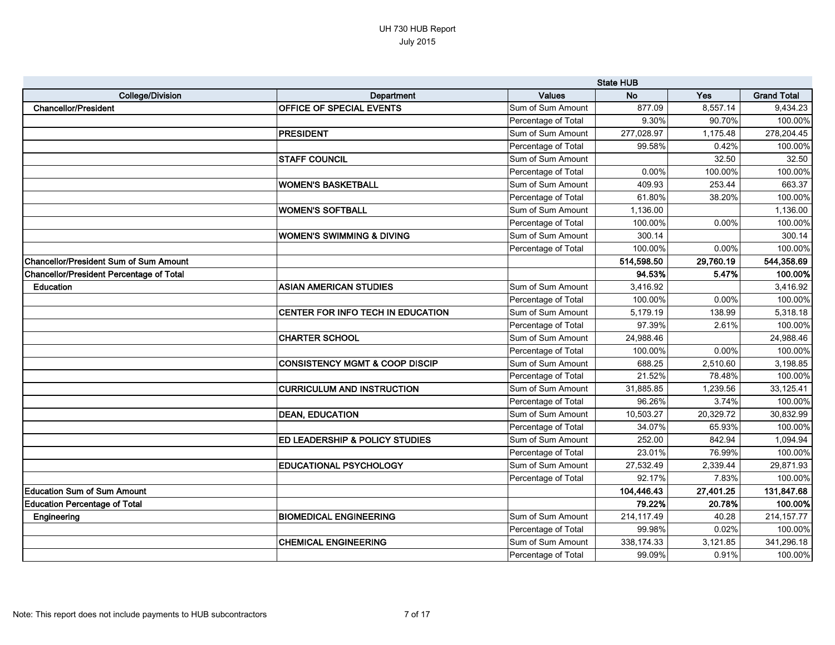|                                                 |                                           |                     | <b>State HUB</b> |           |                    |
|-------------------------------------------------|-------------------------------------------|---------------------|------------------|-----------|--------------------|
| <b>College/Division</b>                         | Department                                | <b>Values</b>       | <b>No</b>        | Yes       | <b>Grand Total</b> |
| <b>Chancellor/President</b>                     | OFFICE OF SPECIAL EVENTS                  | Sum of Sum Amount   | 877.09           | 8,557.14  | 9,434.23           |
|                                                 |                                           | Percentage of Total | 9.30%            | 90.70%    | 100.00%            |
|                                                 | PRESIDENT                                 | Sum of Sum Amount   | 277,028.97       | 1,175.48  | 278,204.45         |
|                                                 |                                           | Percentage of Total | 99.58%           | 0.42%     | 100.00%            |
|                                                 | <b>STAFF COUNCIL</b>                      | Sum of Sum Amount   |                  | 32.50     | 32.50              |
|                                                 |                                           | Percentage of Total | 0.00%            | 100.00%   | 100.00%            |
|                                                 | IWOMEN'S BASKETBALL                       | Sum of Sum Amount   | 409.93           | 253.44    | 663.37             |
|                                                 |                                           | Percentage of Total | 61.80%           | 38.20%    | 100.00%            |
|                                                 | <b>WOMEN'S SOFTBALL</b>                   | Sum of Sum Amount   | 1,136.00         |           | 1,136.00           |
|                                                 |                                           | Percentage of Total | 100.00%          | 0.00%     | 100.00%            |
|                                                 | WOMEN'S SWIMMING & DIVING                 | Sum of Sum Amount   | 300.14           |           | 300.14             |
|                                                 |                                           | Percentage of Total | 100.00%          | 0.00%     | 100.00%            |
| Chancellor/President Sum of Sum Amount          |                                           |                     | 514,598.50       | 29,760.19 | 544,358.69         |
| <b>Chancellor/President Percentage of Total</b> |                                           |                     | 94.53%           | 5.47%     | 100.00%            |
| <b>Education</b>                                | <b>ASIAN AMERICAN STUDIES</b>             | Sum of Sum Amount   | 3,416.92         |           | 3,416.92           |
|                                                 |                                           | Percentage of Total | 100.00%          | 0.00%     | 100.00%            |
|                                                 | <b>CENTER FOR INFO TECH IN EDUCATION</b>  | Sum of Sum Amount   | 5,179.19         | 138.99    | 5,318.18           |
|                                                 |                                           | Percentage of Total | 97.39%           | 2.61%     | 100.00%            |
|                                                 | CHARTER SCHOOL                            | Sum of Sum Amount   | 24,988.46        |           | 24,988.46          |
|                                                 |                                           | Percentage of Total | 100.00%          | 0.00%     | 100.00%            |
|                                                 | <b>CONSISTENCY MGMT &amp; COOP DISCIP</b> | Sum of Sum Amount   | 688.25           | 2,510.60  | 3,198.85           |
|                                                 |                                           | Percentage of Total | 21.52%           | 78.48%    | 100.00%            |
|                                                 | <b>CURRICULUM AND INSTRUCTION</b>         | Sum of Sum Amount   | 31,885.85        | 1,239.56  | 33,125.41          |
|                                                 |                                           | Percentage of Total | 96.26%           | 3.74%     | 100.00%            |
|                                                 | <b>DEAN, EDUCATION</b>                    | Sum of Sum Amount   | 10,503.27        | 20,329.72 | 30,832.99          |
|                                                 |                                           | Percentage of Total | 34.07%           | 65.93%    | 100.00%            |
|                                                 | <b>ED LEADERSHIP &amp; POLICY STUDIES</b> | Sum of Sum Amount   | 252.00           | 842.94    | 1,094.94           |
|                                                 |                                           | Percentage of Total | 23.01%           | 76.99%    | 100.00%            |
|                                                 | <b>EDUCATIONAL PSYCHOLOGY</b>             | Sum of Sum Amount   | 27,532.49        | 2,339.44  | 29,871.93          |
|                                                 |                                           | Percentage of Total | 92.17%           | 7.83%     | 100.00%            |
| <b>Education Sum of Sum Amount</b>              |                                           |                     | 104,446.43       | 27,401.25 | 131,847.68         |
| <b>Education Percentage of Total</b>            |                                           |                     | 79.22%           | 20.78%    | 100.00%            |
| Engineering                                     | <b>BIOMEDICAL ENGINEERING</b>             | Sum of Sum Amount   | 214,117.49       | 40.28     | 214, 157. 77       |
|                                                 |                                           | Percentage of Total | 99.98%           | 0.02%     | 100.00%            |
|                                                 | <b>CHEMICAL ENGINEERING</b>               | Sum of Sum Amount   | 338,174.33       | 3,121.85  | 341,296.18         |
|                                                 |                                           | Percentage of Total | 99.09%           | 0.91%     | 100.00%            |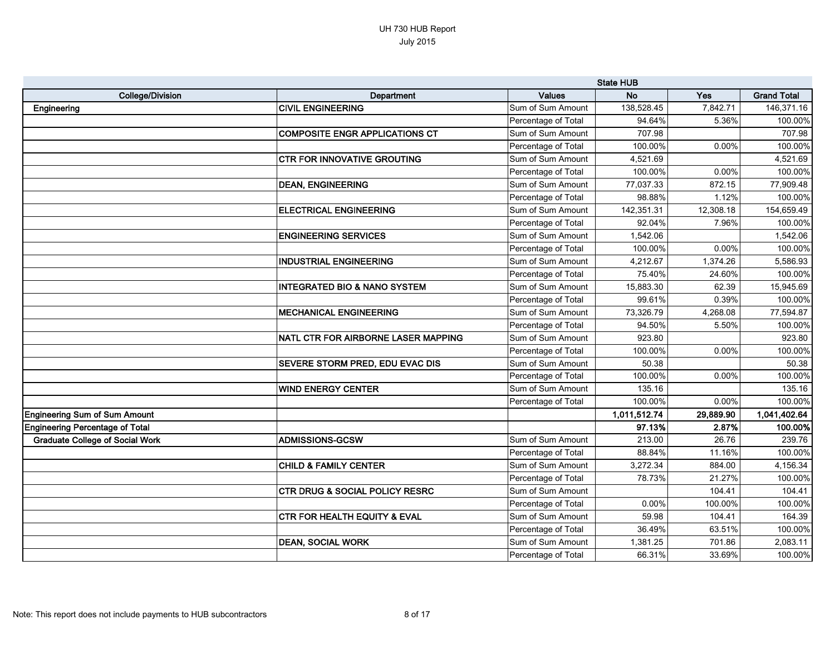|                                        |                                           |                     | <b>State HUB</b> |           |                    |
|----------------------------------------|-------------------------------------------|---------------------|------------------|-----------|--------------------|
| <b>College/Division</b>                | Department                                | <b>Values</b>       | <b>No</b>        | Yes       | <b>Grand Total</b> |
| Engineering                            | <b>CIVIL ENGINEERING</b>                  | Sum of Sum Amount   | 138,528.45       | 7,842.71  | 146,371.16         |
|                                        |                                           | Percentage of Total | 94.64%           | 5.36%     | 100.00%            |
|                                        | <b>COMPOSITE ENGR APPLICATIONS CT</b>     | Sum of Sum Amount   | 707.98           |           | 707.98             |
|                                        |                                           | Percentage of Total | 100.00%          | 0.00%     | 100.00%            |
|                                        | <b>CTR FOR INNOVATIVE GROUTING</b>        | Sum of Sum Amount   | 4,521.69         |           | 4,521.69           |
|                                        |                                           | Percentage of Total | 100.00%          | 0.00%     | 100.00%            |
|                                        | <b>DEAN, ENGINEERING</b>                  | Sum of Sum Amount   | 77,037.33        | 872.15    | 77,909.48          |
|                                        |                                           | Percentage of Total | 98.88%           | 1.12%     | 100.00%            |
|                                        | <b>ELECTRICAL ENGINEERING</b>             | Sum of Sum Amount   | 142,351.31       | 12,308.18 | 154,659.49         |
|                                        |                                           | Percentage of Total | 92.04%           | 7.96%     | 100.00%            |
|                                        | <b>ENGINEERING SERVICES</b>               | Sum of Sum Amount   | 1,542.06         |           | 1,542.06           |
|                                        |                                           | Percentage of Total | 100.00%          | 0.00%     | 100.00%            |
|                                        | <b>INDUSTRIAL ENGINEERING</b>             | Sum of Sum Amount   | 4,212.67         | 1,374.26  | 5,586.93           |
|                                        |                                           | Percentage of Total | 75.40%           | 24.60%    | 100.00%            |
|                                        | <b>INTEGRATED BIO &amp; NANO SYSTEM</b>   | Sum of Sum Amount   | 15,883.30        | 62.39     | 15,945.69          |
|                                        |                                           | Percentage of Total | 99.61%           | 0.39%     | 100.00%            |
|                                        | <b>MECHANICAL ENGINEERING</b>             | Sum of Sum Amount   | 73,326.79        | 4,268.08  | 77,594.87          |
|                                        |                                           | Percentage of Total | 94.50%           | 5.50%     | 100.00%            |
|                                        | NATL CTR FOR AIRBORNE LASER MAPPING       | Sum of Sum Amount   | 923.80           |           | 923.80             |
|                                        |                                           | Percentage of Total | 100.00%          | 0.00%     | 100.00%            |
|                                        | <b>SEVERE STORM PRED, EDU EVAC DIS</b>    | Sum of Sum Amount   | 50.38            |           | 50.38              |
|                                        |                                           | Percentage of Total | 100.00%          | 0.00%     | 100.00%            |
|                                        | <b>WIND ENERGY CENTER</b>                 | Sum of Sum Amount   | 135.16           |           | 135.16             |
|                                        |                                           | Percentage of Total | 100.00%          | 0.00%     | 100.00%            |
| <b>Engineering Sum of Sum Amount</b>   |                                           |                     | 1,011,512.74     | 29,889.90 | 1,041,402.64       |
| <b>Engineering Percentage of Total</b> |                                           |                     | 97.13%           | 2.87%     | 100.00%            |
| <b>Graduate College of Social Work</b> | <b>ADMISSIONS-GCSW</b>                    | Sum of Sum Amount   | 213.00           | 26.76     | 239.76             |
|                                        |                                           | Percentage of Total | 88.84%           | 11.16%    | 100.00%            |
|                                        | <b>CHILD &amp; FAMILY CENTER</b>          | Sum of Sum Amount   | 3,272.34         | 884.00    | 4,156.34           |
|                                        |                                           | Percentage of Total | 78.73%           | 21.27%    | 100.00%            |
|                                        | <b>CTR DRUG &amp; SOCIAL POLICY RESRC</b> | Sum of Sum Amount   |                  | 104.41    | 104.41             |
|                                        |                                           | Percentage of Total | $0.00\%$         | 100.00%   | 100.00%            |
|                                        | <b>CTR FOR HEALTH EQUITY &amp; EVAL</b>   | Sum of Sum Amount   | 59.98            | 104.41    | 164.39             |
|                                        |                                           | Percentage of Total | 36.49%           | 63.51%    | 100.00%            |
|                                        | <b>DEAN, SOCIAL WORK</b>                  | Sum of Sum Amount   | 1,381.25         | 701.86    | 2,083.11           |
|                                        |                                           | Percentage of Total | 66.31%           | 33.69%    | 100.00%            |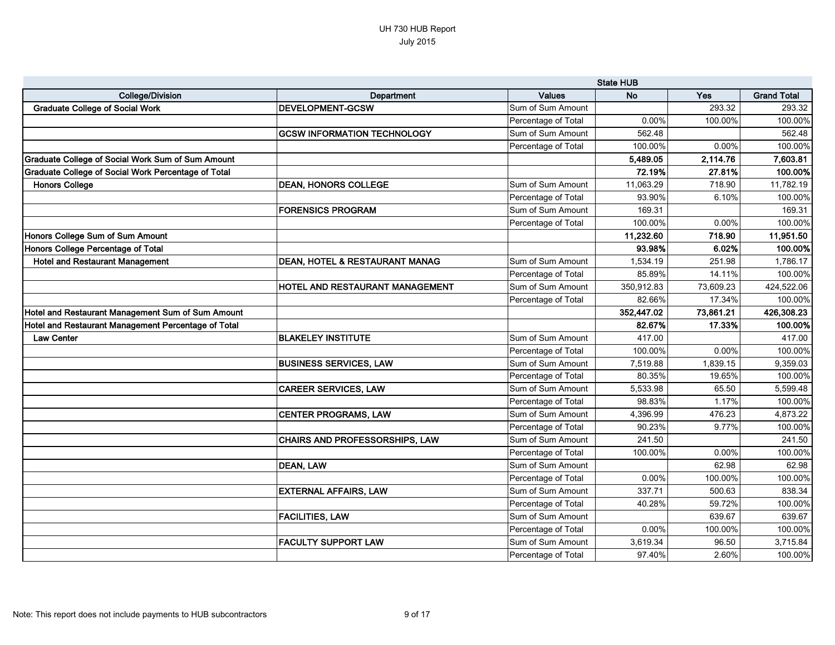|                                                     |                                           | <b>State HUB</b>    |            |           |                    |
|-----------------------------------------------------|-------------------------------------------|---------------------|------------|-----------|--------------------|
| <b>College/Division</b>                             | Department                                | <b>Values</b>       | <b>No</b>  | Yes       | <b>Grand Total</b> |
| <b>Graduate College of Social Work</b>              | <b>DEVELOPMENT-GCSW</b>                   | Sum of Sum Amount   |            | 293.32    | 293.32             |
|                                                     |                                           | Percentage of Total | 0.00%      | 100.00%   | 100.00%            |
|                                                     | <b>GCSW INFORMATION TECHNOLOGY</b>        | Sum of Sum Amount   | 562.48     |           | 562.48             |
|                                                     |                                           | Percentage of Total | 100.00%    | $0.00\%$  | 100.00%            |
| Graduate College of Social Work Sum of Sum Amount   |                                           |                     | 5,489.05   | 2,114.76  | 7,603.81           |
| Graduate College of Social Work Percentage of Total |                                           |                     | 72.19%     | 27.81%    | 100.00%            |
| <b>Honors College</b>                               | <b>DEAN, HONORS COLLEGE</b>               | Sum of Sum Amount   | 11,063.29  | 718.90    | 11,782.19          |
|                                                     |                                           | Percentage of Total | 93.90%     | 6.10%     | 100.00%            |
|                                                     | <b>FORENSICS PROGRAM</b>                  | Sum of Sum Amount   | 169.31     |           | 169.31             |
|                                                     |                                           | Percentage of Total | 100.00%    | $0.00\%$  | 100.00%            |
| Honors College Sum of Sum Amount                    |                                           |                     | 11,232.60  | 718.90    | 11,951.50          |
| Honors College Percentage of Total                  |                                           |                     | 93.98%     | 6.02%     | 100.00%            |
| <b>Hotel and Restaurant Management</b>              | <b>DEAN, HOTEL &amp; RESTAURANT MANAG</b> | Sum of Sum Amount   | 1,534.19   | 251.98    | 1,786.17           |
|                                                     |                                           | Percentage of Total | 85.89%     | 14.11%    | 100.00%            |
|                                                     | HOTEL AND RESTAURANT MANAGEMENT           | Sum of Sum Amount   | 350,912.83 | 73,609.23 | 424,522.06         |
|                                                     |                                           | Percentage of Total | 82.66%     | 17.34%    | 100.00%            |
| Hotel and Restaurant Management Sum of Sum Amount   |                                           |                     | 352,447.02 | 73,861.21 | 426,308.23         |
| Hotel and Restaurant Management Percentage of Total |                                           |                     | 82.67%     | 17.33%    | 100.00%            |
| <b>Law Center</b>                                   | <b>BLAKELEY INSTITUTE</b>                 | Sum of Sum Amount   | 417.00     |           | 417.00             |
|                                                     |                                           | Percentage of Total | 100.00%    | 0.00%     | 100.00%            |
|                                                     | <b>BUSINESS SERVICES, LAW</b>             | Sum of Sum Amount   | 7,519.88   | 1,839.15  | 9,359.03           |
|                                                     |                                           | Percentage of Total | 80.35%     | 19.65%    | 100.00%            |
|                                                     | <b>CAREER SERVICES, LAW</b>               | Sum of Sum Amount   | 5,533.98   | 65.50     | 5,599.48           |
|                                                     |                                           | Percentage of Total | 98.83%     | 1.17%     | 100.00%            |
|                                                     | <b>CENTER PROGRAMS, LAW</b>               | Sum of Sum Amount   | 4,396.99   | 476.23    | 4,873.22           |
|                                                     |                                           | Percentage of Total | 90.23%     | 9.77%     | 100.00%            |
|                                                     | CHAIRS AND PROFESSORSHIPS, LAW            | Sum of Sum Amount   | 241.50     |           | 241.50             |
|                                                     |                                           | Percentage of Total | 100.00%    | 0.00%     | 100.00%            |
|                                                     | <b>DEAN, LAW</b>                          | Sum of Sum Amount   |            | 62.98     | 62.98              |
|                                                     |                                           | Percentage of Total | 0.00%      | 100.00%   | 100.00%            |
|                                                     | <b>EXTERNAL AFFAIRS, LAW</b>              | Sum of Sum Amount   | 337.71     | 500.63    | 838.34             |
|                                                     |                                           | Percentage of Total | 40.28%     | 59.72%    | 100.00%            |
|                                                     | <b>FACILITIES, LAW</b>                    | Sum of Sum Amount   |            | 639.67    | 639.67             |
|                                                     |                                           | Percentage of Total | 0.00%      | 100.00%   | 100.00%            |
|                                                     | <b>FACULTY SUPPORT LAW</b>                | Sum of Sum Amount   | 3,619.34   | 96.50     | 3,715.84           |
|                                                     |                                           | Percentage of Total | 97.40%     | 2.60%     | 100.00%            |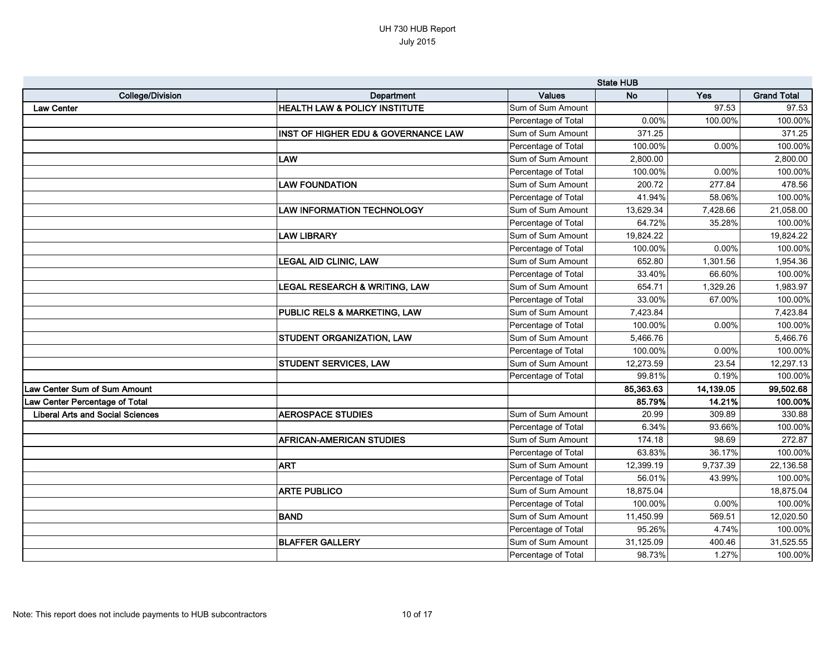|                                         |                                                | <b>State HUB</b>    |           |           |                    |
|-----------------------------------------|------------------------------------------------|---------------------|-----------|-----------|--------------------|
| <b>College/Division</b>                 | Department                                     | <b>Values</b>       | <b>No</b> | Yes       | <b>Grand Total</b> |
| <b>Law Center</b>                       | <b>HEALTH LAW &amp; POLICY INSTITUTE</b>       | Sum of Sum Amount   |           | 97.53     | 97.53              |
|                                         |                                                | Percentage of Total | 0.00%     | 100.00%   | 100.00%            |
|                                         | <b>INST OF HIGHER EDU &amp; GOVERNANCE LAW</b> | Sum of Sum Amount   | 371.25    |           | 371.25             |
|                                         |                                                | Percentage of Total | 100.00%   | 0.00%     | 100.00%            |
|                                         | <b>LAW</b>                                     | Sum of Sum Amount   | 2,800.00  |           | 2,800.00           |
|                                         |                                                | Percentage of Total | 100.00%   | 0.00%     | 100.00%            |
|                                         | <b>LAW FOUNDATION</b>                          | Sum of Sum Amount   | 200.72    | 277.84    | 478.56             |
|                                         |                                                | Percentage of Total | 41.94%    | 58.06%    | 100.00%            |
|                                         | <b>LAW INFORMATION TECHNOLOGY</b>              | Sum of Sum Amount   | 13,629.34 | 7,428.66  | 21,058.00          |
|                                         |                                                | Percentage of Total | 64.72%    | 35.28%    | 100.00%            |
|                                         | <b>LAW LIBRARY</b>                             | Sum of Sum Amount   | 19,824.22 |           | 19,824.22          |
|                                         |                                                | Percentage of Total | 100.00%   | 0.00%     | 100.00%            |
|                                         | <b>LEGAL AID CLINIC, LAW</b>                   | Sum of Sum Amount   | 652.80    | 1,301.56  | 1,954.36           |
|                                         |                                                | Percentage of Total | 33.40%    | 66.60%    | 100.00%            |
|                                         | LEGAL RESEARCH & WRITING, LAW                  | Sum of Sum Amount   | 654.71    | 1,329.26  | 1,983.97           |
|                                         |                                                | Percentage of Total | 33.00%    | 67.00%    | 100.00%            |
|                                         | <b>PUBLIC RELS &amp; MARKETING, LAW</b>        | Sum of Sum Amount   | 7,423.84  |           | 7,423.84           |
|                                         |                                                | Percentage of Total | 100.00%   | 0.00%     | 100.00%            |
|                                         | <b>STUDENT ORGANIZATION, LAW</b>               | Sum of Sum Amount   | 5,466.76  |           | 5,466.76           |
|                                         |                                                | Percentage of Total | 100.00%   | 0.00%     | 100.00%            |
|                                         | <b>STUDENT SERVICES, LAW</b>                   | Sum of Sum Amount   | 12,273.59 | 23.54     | 12,297.13          |
|                                         |                                                | Percentage of Total | 99.81%    | 0.19%     | 100.00%            |
| <b>Law Center Sum of Sum Amount</b>     |                                                |                     | 85,363.63 | 14,139.05 | 99,502.68          |
| Law Center Percentage of Total          |                                                |                     | 85.79%    | 14.21%    | 100.00%            |
| <b>Liberal Arts and Social Sciences</b> | <b>AEROSPACE STUDIES</b>                       | Sum of Sum Amount   | 20.99     | 309.89    | 330.88             |
|                                         |                                                | Percentage of Total | 6.34%     | 93.66%    | 100.00%            |
|                                         | <b>AFRICAN-AMERICAN STUDIES</b>                | Sum of Sum Amount   | 174.18    | 98.69     | 272.87             |
|                                         |                                                | Percentage of Total | 63.83%    | 36.17%    | 100.00%            |
|                                         | <b>ART</b>                                     | Sum of Sum Amount   | 12,399.19 | 9,737.39  | 22,136.58          |
|                                         |                                                | Percentage of Total | 56.01%    | 43.99%    | 100.00%            |
|                                         | <b>ARTE PUBLICO</b>                            | Sum of Sum Amount   | 18,875.04 |           | 18,875.04          |
|                                         |                                                | Percentage of Total | 100.00%   | 0.00%     | 100.00%            |
|                                         | <b>BAND</b>                                    | Sum of Sum Amount   | 11,450.99 | 569.51    | 12,020.50          |
|                                         |                                                | Percentage of Total | 95.26%    | 4.74%     | 100.00%            |
|                                         | <b>BLAFFER GALLERY</b>                         | Sum of Sum Amount   | 31,125.09 | 400.46    | 31,525.55          |
|                                         |                                                | Percentage of Total | 98.73%    | 1.27%     | 100.00%            |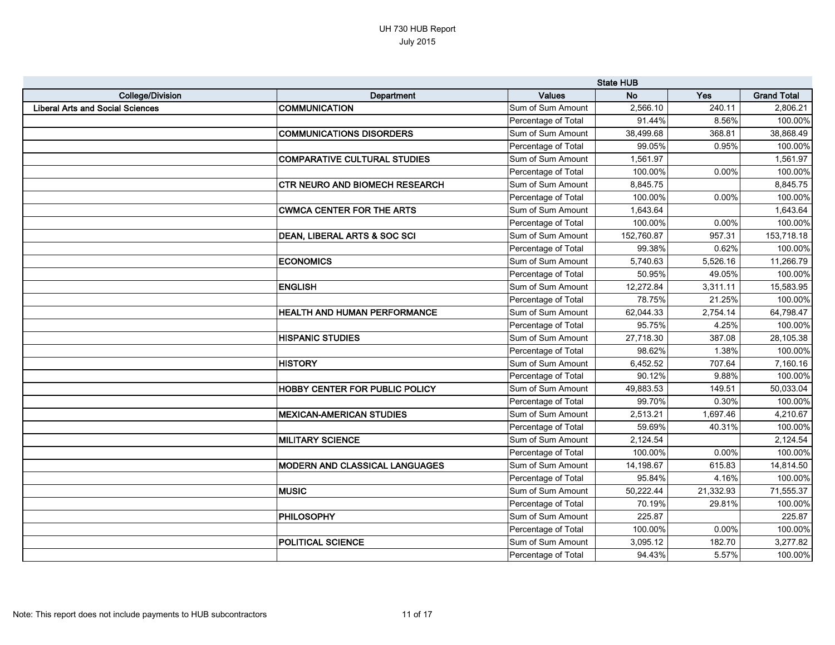|                                         |                                         |                     | <b>State HUB</b> |           |                    |
|-----------------------------------------|-----------------------------------------|---------------------|------------------|-----------|--------------------|
| <b>College/Division</b>                 | <b>Department</b>                       | <b>Values</b>       | <b>No</b>        | Yes       | <b>Grand Total</b> |
| <b>Liberal Arts and Social Sciences</b> | <b>COMMUNICATION</b>                    | Sum of Sum Amount   | 2,566.10         | 240.11    | 2,806.21           |
|                                         |                                         | Percentage of Total | 91.44%           | 8.56%     | 100.00%            |
|                                         | <b>COMMUNICATIONS DISORDERS</b>         | Sum of Sum Amount   | 38,499.68        | 368.81    | 38,868.49          |
|                                         |                                         | Percentage of Total | 99.05%           | 0.95%     | 100.00%            |
|                                         | <b>COMPARATIVE CULTURAL STUDIES</b>     | Sum of Sum Amount   | 1,561.97         |           | 1,561.97           |
|                                         |                                         | Percentage of Total | 100.00%          | 0.00%     | 100.00%            |
|                                         | <b>CTR NEURO AND BIOMECH RESEARCH</b>   | Sum of Sum Amount   | 8,845.75         |           | 8,845.75           |
|                                         |                                         | Percentage of Total | 100.00%          | 0.00%     | 100.00%            |
|                                         | <b>CWMCA CENTER FOR THE ARTS</b>        | Sum of Sum Amount   | 1,643.64         |           | 1,643.64           |
|                                         |                                         | Percentage of Total | 100.00%          | 0.00%     | 100.00%            |
|                                         | <b>DEAN, LIBERAL ARTS &amp; SOC SCI</b> | Sum of Sum Amount   | 152,760.87       | 957.31    | 153,718.18         |
|                                         |                                         | Percentage of Total | 99.38%           | 0.62%     | 100.00%            |
|                                         | <b>ECONOMICS</b>                        | Sum of Sum Amount   | 5,740.63         | 5,526.16  | 11,266.79          |
|                                         |                                         | Percentage of Total | 50.95%           | 49.05%    | 100.00%            |
|                                         | <b>ENGLISH</b>                          | Sum of Sum Amount   | 12,272.84        | 3,311.11  | 15,583.95          |
|                                         |                                         | Percentage of Total | 78.75%           | 21.25%    | 100.00%            |
|                                         | <b>HEALTH AND HUMAN PERFORMANCE</b>     | Sum of Sum Amount   | 62,044.33        | 2,754.14  | 64,798.47          |
|                                         |                                         | Percentage of Total | 95.75%           | 4.25%     | 100.00%            |
|                                         | <b>HISPANIC STUDIES</b>                 | Sum of Sum Amount   | 27,718.30        | 387.08    | 28,105.38          |
|                                         |                                         | Percentage of Total | 98.62%           | 1.38%     | 100.00%            |
|                                         | <b>HISTORY</b>                          | Sum of Sum Amount   | 6,452.52         | 707.64    | 7,160.16           |
|                                         |                                         | Percentage of Total | 90.12%           | 9.88%     | 100.00%            |
|                                         | <b>HOBBY CENTER FOR PUBLIC POLICY</b>   | Sum of Sum Amount   | 49,883.53        | 149.51    | 50,033.04          |
|                                         |                                         | Percentage of Total | 99.70%           | 0.30%     | 100.00%            |
|                                         | <b>MEXICAN-AMERICAN STUDIES</b>         | Sum of Sum Amount   | 2,513.21         | 1,697.46  | 4,210.67           |
|                                         |                                         | Percentage of Total | 59.69%           | 40.31%    | 100.00%            |
|                                         | <b>MILITARY SCIENCE</b>                 | Sum of Sum Amount   | 2,124.54         |           | 2,124.54           |
|                                         |                                         | Percentage of Total | 100.00%          | 0.00%     | 100.00%            |
|                                         | <b>MODERN AND CLASSICAL LANGUAGES</b>   | Sum of Sum Amount   | 14,198.67        | 615.83    | 14,814.50          |
|                                         |                                         | Percentage of Total | 95.84%           | 4.16%     | 100.00%            |
|                                         | <b>MUSIC</b>                            | Sum of Sum Amount   | 50,222.44        | 21,332.93 | 71,555.37          |
|                                         |                                         | Percentage of Total | 70.19%           | 29.81%    | 100.00%            |
|                                         | <b>PHILOSOPHY</b>                       | Sum of Sum Amount   | 225.87           |           | 225.87             |
|                                         |                                         | Percentage of Total | 100.00%          | 0.00%     | 100.00%            |
|                                         | <b>POLITICAL SCIENCE</b>                | Sum of Sum Amount   | 3,095.12         | 182.70    | 3,277.82           |
|                                         |                                         | Percentage of Total | 94.43%           | 5.57%     | 100.00%            |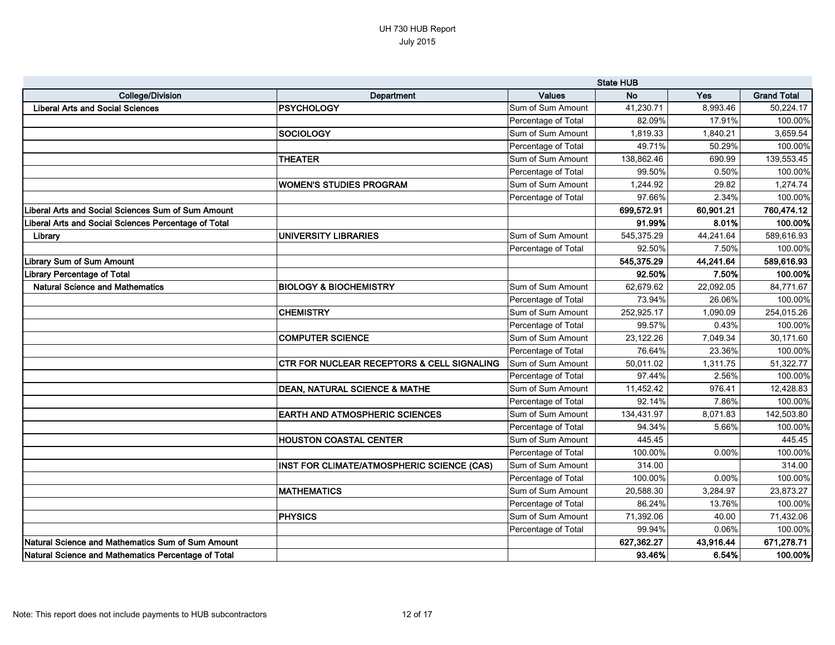|                                                      |                                                       | <b>State HUB</b>    |            |           |                    |
|------------------------------------------------------|-------------------------------------------------------|---------------------|------------|-----------|--------------------|
| <b>College/Division</b>                              | Department                                            | <b>Values</b>       | <b>No</b>  | Yes       | <b>Grand Total</b> |
| <b>Liberal Arts and Social Sciences</b>              | <b> PSYCHOLOGY</b>                                    | Sum of Sum Amount   | 41,230.71  | 8,993.46  | 50,224.17          |
|                                                      |                                                       | Percentage of Total | 82.09%     | 17.91%    | 100.00%            |
|                                                      | SOCIOLOGY                                             | Sum of Sum Amount   | 1,819.33   | 1,840.21  | 3,659.54           |
|                                                      |                                                       | Percentage of Total | 49.71%     | 50.29%    | 100.00%            |
|                                                      | <b>THEATER</b>                                        | Sum of Sum Amount   | 138,862.46 | 690.99    | 139,553.45         |
|                                                      |                                                       | Percentage of Total | 99.50%     | 0.50%     | 100.00%            |
|                                                      | WOMEN'S STUDIES PROGRAM                               | Sum of Sum Amount   | 1,244.92   | 29.82     | 1,274.74           |
|                                                      |                                                       | Percentage of Total | 97.66%     | 2.34%     | 100.00%            |
| Liberal Arts and Social Sciences Sum of Sum Amount   |                                                       |                     | 699,572.91 | 60,901.21 | 760,474.12         |
| Liberal Arts and Social Sciences Percentage of Total |                                                       |                     | 91.99%     | 8.01%     | 100.00%            |
| Library                                              | <b>UNIVERSITY LIBRARIES</b>                           | Sum of Sum Amount   | 545,375.29 | 44,241.64 | 589,616.93         |
|                                                      |                                                       | Percentage of Total | 92.50%     | 7.50%     | 100.00%            |
| <b>Library Sum of Sum Amount</b>                     |                                                       |                     | 545,375.29 | 44,241.64 | 589,616.93         |
| <b>Library Percentage of Total</b>                   |                                                       |                     | 92.50%     | 7.50%     | 100.00%            |
| <b>Natural Science and Mathematics</b>               | <b>BIOLOGY &amp; BIOCHEMISTRY</b>                     | Sum of Sum Amount   | 62,679.62  | 22,092.05 | 84,771.67          |
|                                                      |                                                       | Percentage of Total | 73.94%     | 26.06%    | 100.00%            |
|                                                      | <b>CHEMISTRY</b>                                      | Sum of Sum Amount   | 252,925.17 | 1,090.09  | 254,015.26         |
|                                                      |                                                       | Percentage of Total | 99.57%     | 0.43%     | 100.00%            |
|                                                      | <b>COMPUTER SCIENCE</b>                               | Sum of Sum Amount   | 23,122.26  | 7,049.34  | 30,171.60          |
|                                                      |                                                       | Percentage of Total | 76.64%     | 23.36%    | 100.00%            |
|                                                      | <b>CTR FOR NUCLEAR RECEPTORS &amp; CELL SIGNALING</b> | Sum of Sum Amount   | 50,011.02  | 1,311.75  | 51,322.77          |
|                                                      |                                                       | Percentage of Total | 97.44%     | 2.56%     | 100.00%            |
|                                                      | <b>DEAN, NATURAL SCIENCE &amp; MATHE</b>              | Sum of Sum Amount   | 11,452.42  | 976.41    | 12,428.83          |
|                                                      |                                                       | Percentage of Total | 92.14%     | 7.86%     | 100.00%            |
|                                                      | <b>EARTH AND ATMOSPHERIC SCIENCES</b>                 | Sum of Sum Amount   | 134,431.97 | 8,071.83  | 142,503.80         |
|                                                      |                                                       | Percentage of Total | 94.34%     | 5.66%     | 100.00%            |
|                                                      | <b>HOUSTON COASTAL CENTER</b>                         | Sum of Sum Amount   | 445.45     |           | 445.45             |
|                                                      |                                                       | Percentage of Total | 100.00%    | 0.00%     | 100.00%            |
|                                                      | INST FOR CLIMATE/ATMOSPHERIC SCIENCE (CAS)            | Sum of Sum Amount   | 314.00     |           | 314.00             |
|                                                      |                                                       | Percentage of Total | 100.00%    | 0.00%     | 100.00%            |
|                                                      | <b>MATHEMATICS</b>                                    | Sum of Sum Amount   | 20,588.30  | 3,284.97  | 23,873.27          |
|                                                      |                                                       | Percentage of Total | 86.24%     | 13.76%    | 100.00%            |
|                                                      | <b>PHYSICS</b>                                        | Sum of Sum Amount   | 71,392.06  | 40.00     | 71,432.06          |
|                                                      |                                                       | Percentage of Total | 99.94%     | 0.06%     | 100.00%            |
| Natural Science and Mathematics Sum of Sum Amount    |                                                       |                     | 627,362.27 | 43,916.44 | 671,278.71         |
| Natural Science and Mathematics Percentage of Total  |                                                       |                     | 93.46%     | 6.54%     | 100.00%            |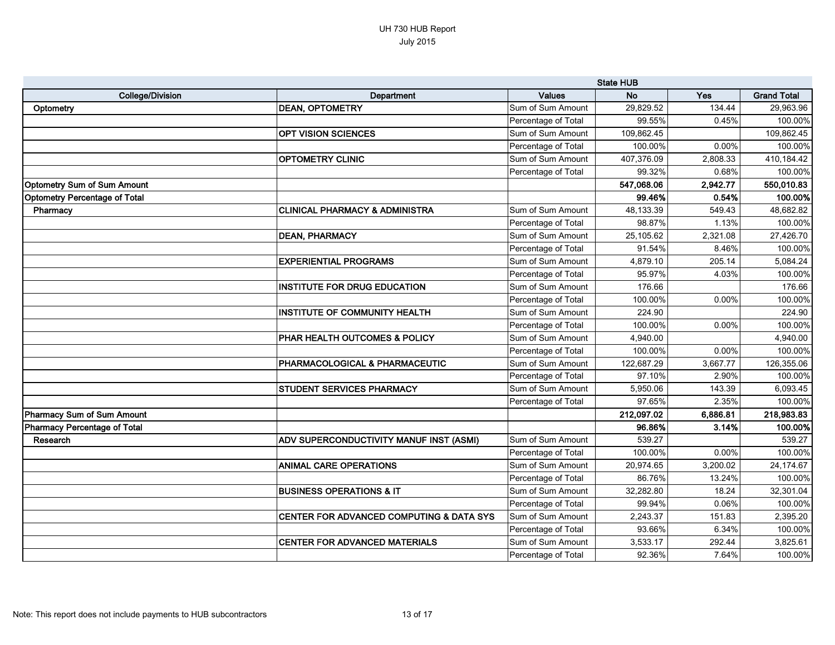|                                      |                                           | <b>State HUB</b>    |            |          |                    |
|--------------------------------------|-------------------------------------------|---------------------|------------|----------|--------------------|
| <b>College/Division</b>              | Department                                | <b>Values</b>       | <b>No</b>  | Yes      | <b>Grand Total</b> |
| Optometry                            | <b>DEAN, OPTOMETRY</b>                    | Sum of Sum Amount   | 29,829.52  | 134.44   | 29,963.96          |
|                                      |                                           | Percentage of Total | 99.55%     | 0.45%    | 100.00%            |
|                                      | <b>OPT VISION SCIENCES</b>                | Sum of Sum Amount   | 109,862.45 |          | 109,862.45         |
|                                      |                                           | Percentage of Total | 100.00%    | 0.00%    | 100.00%            |
|                                      | <b>OPTOMETRY CLINIC</b>                   | Sum of Sum Amount   | 407,376.09 | 2,808.33 | 410,184.42         |
|                                      |                                           | Percentage of Total | 99.32%     | 0.68%    | 100.00%            |
| <b>Optometry Sum of Sum Amount</b>   |                                           |                     | 547,068.06 | 2,942.77 | 550,010.83         |
| <b>Optometry Percentage of Total</b> |                                           |                     | 99.46%     | 0.54%    | 100.00%            |
| Pharmacy                             | CLINICAL PHARMACY & ADMINISTRA            | Sum of Sum Amount   | 48,133.39  | 549.43   | 48,682.82          |
|                                      |                                           | Percentage of Total | 98.87%     | 1.13%    | 100.00%            |
|                                      | <b>DEAN, PHARMACY</b>                     | Sum of Sum Amount   | 25,105.62  | 2,321.08 | 27,426.70          |
|                                      |                                           | Percentage of Total | 91.54%     | 8.46%    | 100.00%            |
|                                      | <b>EXPERIENTIAL PROGRAMS</b>              | Sum of Sum Amount   | 4,879.10   | 205.14   | 5,084.24           |
|                                      |                                           | Percentage of Total | 95.97%     | 4.03%    | 100.00%            |
|                                      | <b>INSTITUTE FOR DRUG EDUCATION</b>       | Sum of Sum Amount   | 176.66     |          | 176.66             |
|                                      |                                           | Percentage of Total | 100.00%    | 0.00%    | 100.00%            |
|                                      | <b>INSTITUTE OF COMMUNITY HEALTH</b>      | Sum of Sum Amount   | 224.90     |          | 224.90             |
|                                      |                                           | Percentage of Total | 100.00%    | 0.00%    | 100.00%            |
|                                      | PHAR HEALTH OUTCOMES & POLICY             | Sum of Sum Amount   | 4,940.00   |          | 4,940.00           |
|                                      |                                           | Percentage of Total | 100.00%    | 0.00%    | 100.00%            |
|                                      | <b>PHARMACOLOGICAL &amp; PHARMACEUTIC</b> | Sum of Sum Amount   | 122,687.29 | 3,667.77 | 126,355.06         |
|                                      |                                           | Percentage of Total | 97.10%     | 2.90%    | 100.00%            |
|                                      | <b>STUDENT SERVICES PHARMACY</b>          | Sum of Sum Amount   | 5,950.06   | 143.39   | 6,093.45           |
|                                      |                                           | Percentage of Total | 97.65%     | 2.35%    | 100.00%            |
| Pharmacy Sum of Sum Amount           |                                           |                     | 212,097.02 | 6,886.81 | 218,983.83         |
| Pharmacy Percentage of Total         |                                           |                     | 96.86%     | 3.14%    | 100.00%            |
| Research                             | ADV SUPERCONDUCTIVITY MANUF INST (ASMI)   | Sum of Sum Amount   | 539.27     |          | 539.27             |
|                                      |                                           | Percentage of Total | 100.00%    | 0.00%    | 100.00%            |
|                                      | <b>ANIMAL CARE OPERATIONS</b>             | Sum of Sum Amount   | 20,974.65  | 3,200.02 | 24,174.67          |
|                                      |                                           | Percentage of Total | 86.76%     | 13.24%   | 100.00%            |
|                                      | <b>BUSINESS OPERATIONS &amp; IT</b>       | Sum of Sum Amount   | 32,282.80  | 18.24    | 32,301.04          |
|                                      |                                           | Percentage of Total | 99.94%     | 0.06%    | 100.00%            |
|                                      | CENTER FOR ADVANCED COMPUTING & DATA SYS  | Sum of Sum Amount   | 2,243.37   | 151.83   | 2,395.20           |
|                                      |                                           | Percentage of Total | 93.66%     | 6.34%    | 100.00%            |
|                                      | <b>CENTER FOR ADVANCED MATERIALS</b>      | Sum of Sum Amount   | 3,533.17   | 292.44   | 3,825.61           |
|                                      |                                           | Percentage of Total | 92.36%     | 7.64%    | 100.00%            |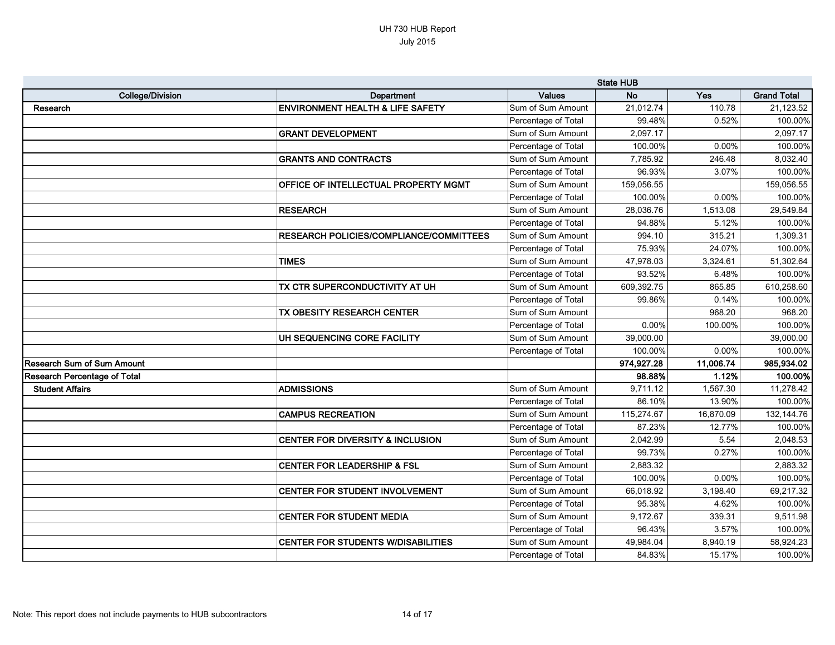|                                     |                                             | <b>State HUB</b>    |            |           |                    |
|-------------------------------------|---------------------------------------------|---------------------|------------|-----------|--------------------|
| <b>College/Division</b>             | Department                                  | <b>Values</b>       | <b>No</b>  | Yes       | <b>Grand Total</b> |
| Research                            | <b>ENVIRONMENT HEALTH &amp; LIFE SAFETY</b> | Sum of Sum Amount   | 21,012.74  | 110.78    | 21,123.52          |
|                                     |                                             | Percentage of Total | 99.48%     | 0.52%     | 100.00%            |
|                                     | <b>GRANT DEVELOPMENT</b>                    | Sum of Sum Amount   | 2,097.17   |           | 2,097.17           |
|                                     |                                             | Percentage of Total | 100.00%    | 0.00%     | 100.00%            |
|                                     | <b>GRANTS AND CONTRACTS</b>                 | Sum of Sum Amount   | 7,785.92   | 246.48    | 8,032.40           |
|                                     |                                             | Percentage of Total | 96.93%     | 3.07%     | 100.00%            |
|                                     | OFFICE OF INTELLECTUAL PROPERTY MGMT        | Sum of Sum Amount   | 159,056.55 |           | 159,056.55         |
|                                     |                                             | Percentage of Total | 100.00%    | 0.00%     | 100.00%            |
|                                     | <b>RESEARCH</b>                             | Sum of Sum Amount   | 28,036.76  | 1,513.08  | 29,549.84          |
|                                     |                                             | Percentage of Total | 94.88%     | 5.12%     | 100.00%            |
|                                     | RESEARCH POLICIES/COMPLIANCE/COMMITTEES     | Sum of Sum Amount   | 994.10     | 315.21    | 1,309.31           |
|                                     |                                             | Percentage of Total | 75.93%     | 24.07%    | 100.00%            |
|                                     | <b>TIMES</b>                                | Sum of Sum Amount   | 47,978.03  | 3,324.61  | 51,302.64          |
|                                     |                                             | Percentage of Total | 93.52%     | 6.48%     | 100.00%            |
|                                     | TX CTR SUPERCONDUCTIVITY AT UH              | Sum of Sum Amount   | 609,392.75 | 865.85    | 610,258.60         |
|                                     |                                             | Percentage of Total | 99.86%     | 0.14%     | 100.00%            |
|                                     | TX OBESITY RESEARCH CENTER                  | Sum of Sum Amount   |            | 968.20    | 968.20             |
|                                     |                                             | Percentage of Total | 0.00%      | 100.00%   | 100.00%            |
|                                     | UH SEQUENCING CORE FACILITY                 | Sum of Sum Amount   | 39,000.00  |           | 39,000.00          |
|                                     |                                             | Percentage of Total | 100.00%    | 0.00%     | 100.00%            |
| <b>Research Sum of Sum Amount</b>   |                                             |                     | 974,927.28 | 11,006.74 | 985,934.02         |
| <b>Research Percentage of Total</b> |                                             |                     | 98.88%     | 1.12%     | 100.00%            |
| <b>Student Affairs</b>              | <b>ADMISSIONS</b>                           | Sum of Sum Amount   | 9,711.12   | 1,567.30  | 11,278.42          |
|                                     |                                             | Percentage of Total | 86.10%     | 13.90%    | 100.00%            |
|                                     | <b>CAMPUS RECREATION</b>                    | Sum of Sum Amount   | 115,274.67 | 16,870.09 | 132,144.76         |
|                                     |                                             | Percentage of Total | 87.23%     | 12.77%    | 100.00%            |
|                                     | <b>CENTER FOR DIVERSITY &amp; INCLUSION</b> | Sum of Sum Amount   | 2,042.99   | 5.54      | 2,048.53           |
|                                     |                                             | Percentage of Total | 99.73%     | 0.27%     | 100.00%            |
|                                     | <b>CENTER FOR LEADERSHIP &amp; FSL</b>      | Sum of Sum Amount   | 2,883.32   |           | 2,883.32           |
|                                     |                                             | Percentage of Total | 100.00%    | 0.00%     | 100.00%            |
|                                     | CENTER FOR STUDENT INVOLVEMENT              | Sum of Sum Amount   | 66,018.92  | 3,198.40  | 69,217.32          |
|                                     |                                             | Percentage of Total | 95.38%     | 4.62%     | 100.00%            |
|                                     | <b>CENTER FOR STUDENT MEDIA</b>             | Sum of Sum Amount   | 9,172.67   | 339.31    | 9,511.98           |
|                                     |                                             | Percentage of Total | 96.43%     | 3.57%     | 100.00%            |
|                                     | <b>CENTER FOR STUDENTS W/DISABILITIES</b>   | Sum of Sum Amount   | 49,984.04  | 8,940.19  | 58,924.23          |
|                                     |                                             | Percentage of Total | 84.83%     | 15.17%    | 100.00%            |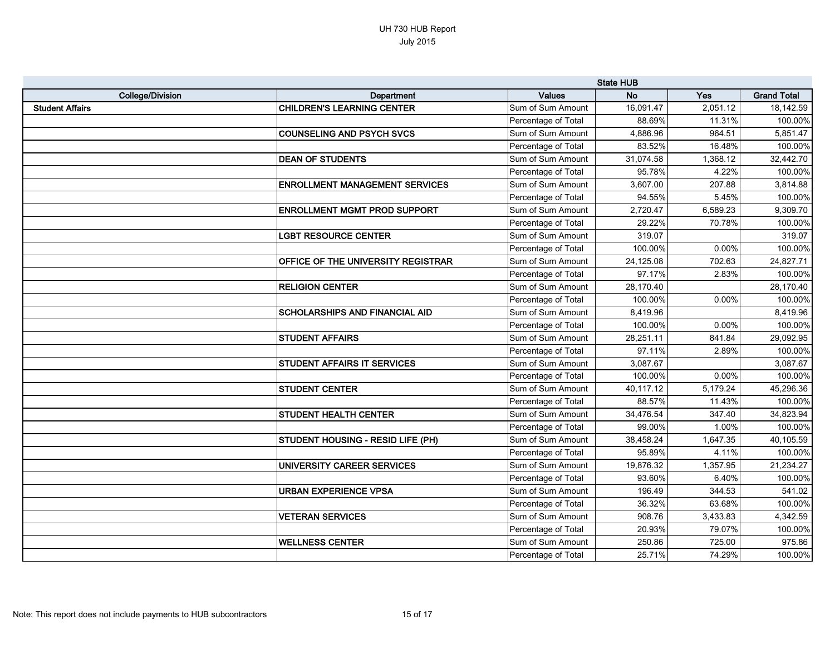|                         |                                           | <b>State HUB</b>    |           |          |                    |
|-------------------------|-------------------------------------------|---------------------|-----------|----------|--------------------|
| <b>College/Division</b> | Department                                | <b>Values</b>       | <b>No</b> | Yes      | <b>Grand Total</b> |
| <b>Student Affairs</b>  | <b>CHILDREN'S LEARNING CENTER</b>         | Sum of Sum Amount   | 16,091.47 | 2,051.12 | 18,142.59          |
|                         |                                           | Percentage of Total | 88.69%    | 11.31%   | 100.00%            |
|                         | <b>COUNSELING AND PSYCH SVCS</b>          | Sum of Sum Amount   | 4,886.96  | 964.51   | 5,851.47           |
|                         |                                           | Percentage of Total | 83.52%    | 16.48%   | 100.00%            |
|                         | <b>DEAN OF STUDENTS</b>                   | Sum of Sum Amount   | 31,074.58 | 1,368.12 | 32,442.70          |
|                         |                                           | Percentage of Total | 95.78%    | 4.22%    | 100.00%            |
|                         | <b>ENROLLMENT MANAGEMENT SERVICES</b>     | Sum of Sum Amount   | 3,607.00  | 207.88   | 3,814.88           |
|                         |                                           | Percentage of Total | 94.55%    | 5.45%    | 100.00%            |
|                         | <b>ENROLLMENT MGMT PROD SUPPORT</b>       | Sum of Sum Amount   | 2,720.47  | 6,589.23 | 9,309.70           |
|                         |                                           | Percentage of Total | 29.22%    | 70.78%   | 100.00%            |
|                         | <b>LGBT RESOURCE CENTER</b>               | Sum of Sum Amount   | 319.07    |          | 319.07             |
|                         |                                           | Percentage of Total | 100.00%   | 0.00%    | 100.00%            |
|                         | <b>OFFICE OF THE UNIVERSITY REGISTRAR</b> | Sum of Sum Amount   | 24,125.08 | 702.63   | 24,827.71          |
|                         |                                           | Percentage of Total | 97.17%    | 2.83%    | 100.00%            |
|                         | <b>RELIGION CENTER</b>                    | Sum of Sum Amount   | 28,170.40 |          | 28,170.40          |
|                         |                                           | Percentage of Total | 100.00%   | 0.00%    | 100.00%            |
|                         | <b>SCHOLARSHIPS AND FINANCIAL AID</b>     | Sum of Sum Amount   | 8,419.96  |          | 8,419.96           |
|                         |                                           | Percentage of Total | 100.00%   | 0.00%    | 100.00%            |
|                         | <b>STUDENT AFFAIRS</b>                    | Sum of Sum Amount   | 28,251.11 | 841.84   | 29,092.95          |
|                         |                                           | Percentage of Total | 97.11%    | 2.89%    | 100.00%            |
|                         | <b>STUDENT AFFAIRS IT SERVICES</b>        | Sum of Sum Amount   | 3,087.67  |          | 3,087.67           |
|                         |                                           | Percentage of Total | 100.00%   | 0.00%    | 100.00%            |
|                         | <b>STUDENT CENTER</b>                     | Sum of Sum Amount   | 40,117.12 | 5,179.24 | 45,296.36          |
|                         |                                           | Percentage of Total | 88.57%    | 11.43%   | 100.00%            |
|                         | STUDENT HEALTH CENTER                     | Sum of Sum Amount   | 34,476.54 | 347.40   | 34,823.94          |
|                         |                                           | Percentage of Total | 99.00%    | 1.00%    | 100.00%            |
|                         | <b>STUDENT HOUSING - RESID LIFE (PH)</b>  | Sum of Sum Amount   | 38,458.24 | 1,647.35 | 40,105.59          |
|                         |                                           | Percentage of Total | 95.89%    | 4.11%    | 100.00%            |
|                         | UNIVERSITY CAREER SERVICES                | Sum of Sum Amount   | 19,876.32 | 1,357.95 | 21,234.27          |
|                         |                                           | Percentage of Total | 93.60%    | 6.40%    | 100.00%            |
|                         | <b>URBAN EXPERIENCE VPSA</b>              | Sum of Sum Amount   | 196.49    | 344.53   | 541.02             |
|                         |                                           | Percentage of Total | 36.32%    | 63.68%   | 100.00%            |
|                         | <b>VETERAN SERVICES</b>                   | Sum of Sum Amount   | 908.76    | 3,433.83 | 4,342.59           |
|                         |                                           | Percentage of Total | 20.93%    | 79.07%   | 100.00%            |
|                         | <b>WELLNESS CENTER</b>                    | Sum of Sum Amount   | 250.86    | 725.00   | 975.86             |
|                         |                                           | Percentage of Total | 25.71%    | 74.29%   | 100.00%            |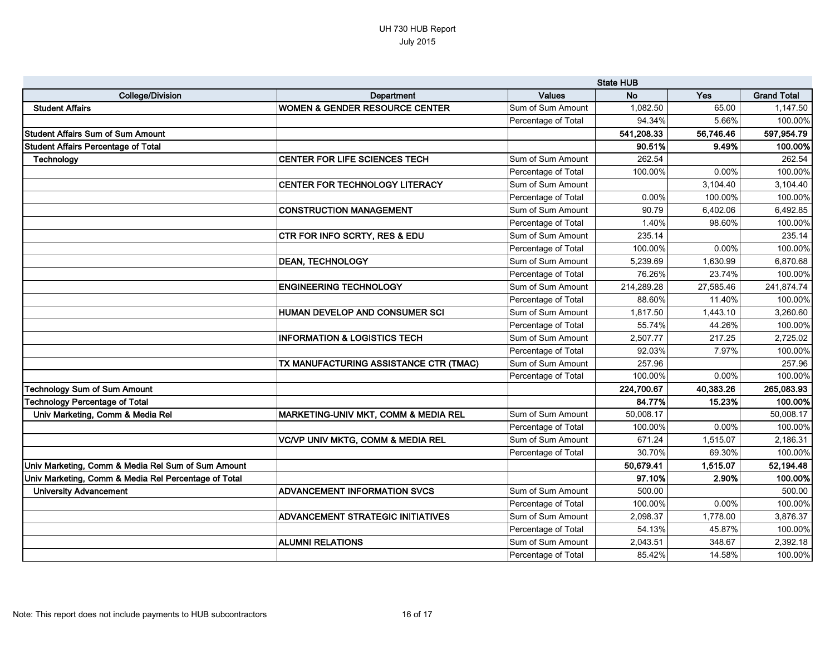|                                                      | <b>State HUB</b>                             |                     |            |           |                    |
|------------------------------------------------------|----------------------------------------------|---------------------|------------|-----------|--------------------|
| <b>College/Division</b>                              | Department                                   | <b>Values</b>       | <b>No</b>  | Yes       | <b>Grand Total</b> |
| <b>Student Affairs</b>                               | <b>WOMEN &amp; GENDER RESOURCE CENTER</b>    | Sum of Sum Amount   | 1,082.50   | 65.00     | 1,147.50           |
|                                                      |                                              | Percentage of Total | 94.34%     | 5.66%     | 100.00%            |
| <b>Student Affairs Sum of Sum Amount</b>             |                                              |                     | 541,208.33 | 56,746.46 | 597,954.79         |
| <b>Student Affairs Percentage of Total</b>           |                                              |                     | 90.51%     | 9.49%     | 100.00%            |
| Technology                                           | CENTER FOR LIFE SCIENCES TECH                | Sum of Sum Amount   | 262.54     |           | 262.54             |
|                                                      |                                              | Percentage of Total | 100.00%    | 0.00%     | 100.00%            |
|                                                      | CENTER FOR TECHNOLOGY LITERACY               | Sum of Sum Amount   |            | 3,104.40  | 3,104.40           |
|                                                      |                                              | Percentage of Total | 0.00%      | 100.00%   | 100.00%            |
|                                                      | <b>CONSTRUCTION MANAGEMENT</b>               | Sum of Sum Amount   | 90.79      | 6,402.06  | 6,492.85           |
|                                                      |                                              | Percentage of Total | 1.40%      | 98.60%    | 100.00%            |
|                                                      | <b>CTR FOR INFO SCRTY, RES &amp; EDU</b>     | Sum of Sum Amount   | 235.14     |           | 235.14             |
|                                                      |                                              | Percentage of Total | 100.00%    | 0.00%     | 100.00%            |
|                                                      | <b>DEAN, TECHNOLOGY</b>                      | Sum of Sum Amount   | 5,239.69   | 1,630.99  | 6,870.68           |
|                                                      |                                              | Percentage of Total | 76.26%     | 23.74%    | 100.00%            |
|                                                      | <b>ENGINEERING TECHNOLOGY</b>                | Sum of Sum Amount   | 214,289.28 | 27,585.46 | 241,874.74         |
|                                                      |                                              | Percentage of Total | 88.60%     | 11.40%    | 100.00%            |
|                                                      | HUMAN DEVELOP AND CONSUMER SCI               | Sum of Sum Amount   | 1,817.50   | 1,443.10  | 3,260.60           |
|                                                      |                                              | Percentage of Total | 55.74%     | 44.26%    | 100.00%            |
|                                                      | <b>INFORMATION &amp; LOGISTICS TECH</b>      | Sum of Sum Amount   | 2,507.77   | 217.25    | 2,725.02           |
|                                                      |                                              | Percentage of Total | 92.03%     | 7.97%     | 100.00%            |
|                                                      | TX MANUFACTURING ASSISTANCE CTR (TMAC)       | Sum of Sum Amount   | 257.96     |           | 257.96             |
|                                                      |                                              | Percentage of Total | 100.00%    | 0.00%     | 100.00%            |
| <b>Technology Sum of Sum Amount</b>                  |                                              |                     | 224,700.67 | 40,383.26 | 265,083.93         |
| <b>Technology Percentage of Total</b>                |                                              |                     | 84.77%     | 15.23%    | 100.00%            |
| Univ Marketing, Comm & Media Rel                     | MARKETING-UNIV MKT, COMM & MEDIA REL         | Sum of Sum Amount   | 50,008.17  |           | 50,008.17          |
|                                                      |                                              | Percentage of Total | 100.00%    | 0.00%     | 100.00%            |
|                                                      | <b>VC/VP UNIV MKTG, COMM &amp; MEDIA REL</b> | Sum of Sum Amount   | 671.24     | 1,515.07  | 2,186.31           |
|                                                      |                                              | Percentage of Total | 30.70%     | 69.30%    | 100.00%            |
| Univ Marketing, Comm & Media Rel Sum of Sum Amount   |                                              |                     | 50,679.41  | 1,515.07  | 52,194.48          |
| Univ Marketing, Comm & Media Rel Percentage of Total |                                              |                     | 97.10%     | 2.90%     | 100.00%            |
| <b>University Advancement</b>                        | <b>ADVANCEMENT INFORMATION SVCS</b>          | Sum of Sum Amount   | 500.00     |           | 500.00             |
|                                                      |                                              | Percentage of Total | 100.00%    | $0.00\%$  | 100.00%            |
|                                                      | <b>ADVANCEMENT STRATEGIC INITIATIVES</b>     | Sum of Sum Amount   | 2,098.37   | 1,778.00  | 3,876.37           |
|                                                      |                                              | Percentage of Total | 54.13%     | 45.87%    | 100.00%            |
|                                                      | <b>ALUMNI RELATIONS</b>                      | Sum of Sum Amount   | 2,043.51   | 348.67    | 2,392.18           |
|                                                      |                                              | Percentage of Total | 85.42%     | 14.58%    | 100.00%            |